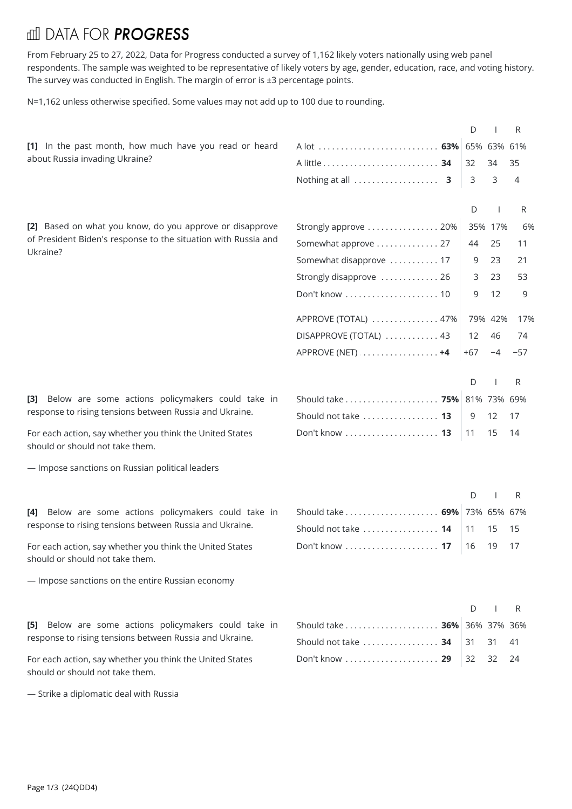## **III DATA FOR PROGRESS**

From February 25 to 27, 2022, Data for Progress conducted a survey of 1,162 likely voters nationally using web panel respondents. The sample was weighted to be representative of likely voters by age, gender, education, race, and voting history. The survey was conducted in English. The margin of error is ±3 percentage points.

N=1,162 unless otherwise specified. Some values may not add up to 100 due to rounding.

|                                                                                                                            |                              |            | D  |         | R              |
|----------------------------------------------------------------------------------------------------------------------------|------------------------------|------------|----|---------|----------------|
| [1] In the past month, how much have you read or heard<br>about Russia invading Ukraine?                                   | A lot <b>63%</b> 65% 63% 61% |            |    |         |                |
|                                                                                                                            |                              | 32         |    | 34      | 35             |
|                                                                                                                            |                              |            | 3  | 3       | $\overline{4}$ |
|                                                                                                                            |                              |            |    |         |                |
|                                                                                                                            |                              |            | D  |         | R              |
| [2] Based on what you know, do you approve or disapprove<br>of President Biden's response to the situation with Russia and | Strongly approve  20%        |            |    | 35% 17% | 6%             |
| Ukraine?                                                                                                                   | Somewhat approve  27         |            | 44 | 25      | 11             |
|                                                                                                                            | Somewhat disapprove  17      |            | 9  | 23      | 21             |
|                                                                                                                            | Strongly disapprove  26      |            | 3  | 23      | 53             |
|                                                                                                                            |                              |            | 9  | 12      | 9              |
|                                                                                                                            | APPROVE (TOTAL)  47%         |            |    | 79% 42% | 17%            |
|                                                                                                                            | DISAPPROVE (TOTAL)  43       |            | 12 | 46      | 74             |
|                                                                                                                            |                              | $+67$      |    | $-4$    | -57            |
|                                                                                                                            |                              |            |    |         |                |
|                                                                                                                            |                              |            | D  |         | R              |
| Below are some actions policymakers could take in<br>[3]<br>response to rising tensions between Russia and Ukraine.        | Should take  75% 81% 73% 69% |            |    |         |                |
|                                                                                                                            | Should not take  13          |            | 9  | 12      | 17             |
| For each action, say whether you think the United States<br>should or should not take them.                                |                              | $\vert$ 11 |    | 15 14   |                |
| - Impose sanctions on Russian political leaders                                                                            |                              |            |    |         |                |
|                                                                                                                            |                              |            |    |         |                |
|                                                                                                                            |                              |            | D  |         | R              |
| Below are some actions policymakers could take in<br>[4]                                                                   | Should take  69% 73% 65% 67% |            |    |         |                |
| response to rising tensions between Russia and Ukraine.                                                                    | Should not take  14          | 11         |    | 15      | 15             |
| For each action, say whether you think the United States<br>should or should not take them.                                |                              | 16         |    | - 19    | - 17           |
| - Impose sanctions on the entire Russian economy                                                                           |                              |            |    |         |                |
|                                                                                                                            |                              |            |    |         |                |
|                                                                                                                            |                              |            | D  |         | R              |
| Below are some actions policymakers could take in<br>T51 –<br>response to rising tensions between Russia and Ukraine.      | Should take  36% 36% 37% 36% |            |    |         |                |
|                                                                                                                            | Should not take  34          | 31         |    | 31      | 41             |
| For each action, say whether you think the United States<br>should or should not take them.                                | Don't know  29               | 32         |    | 32      | -24            |
| - Strike a diplomatic deal with Russia                                                                                     |                              |            |    |         |                |
|                                                                                                                            |                              |            |    |         |                |
|                                                                                                                            |                              |            |    |         |                |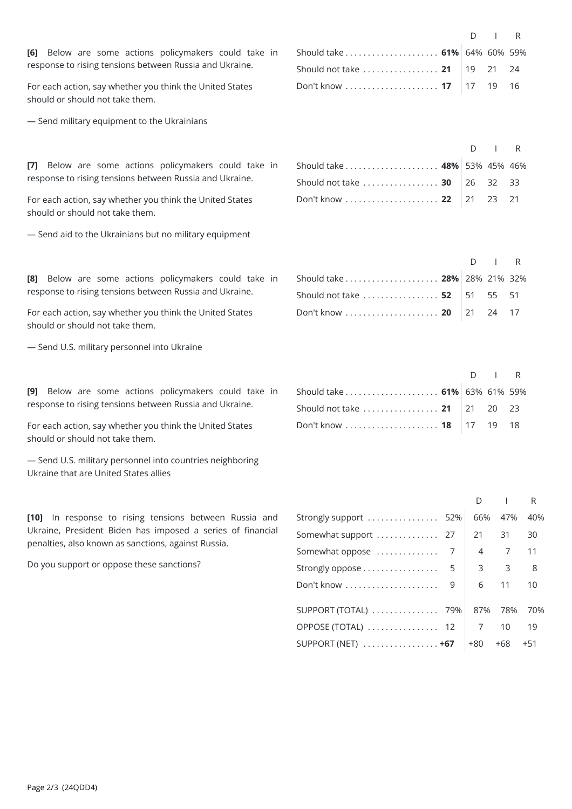[6] Below are some actions policymakers could take in response to rising tensions between Russia and Ukraine.

For each action, say whether you think the United States should or should not take them.<br>— Send military equipment to the Ukrainians

[7] Below are some actions policymakers could take in response to rising tensions between Russia and Ukraine.

For each action, say whether you think the United States should or should not take them.<br>— Send aid to the Ukrainians but no military equipment

[8] Below are some actions policymakers could take in response to rising tensions between Russia and Ukraine.

For each action, say whether you think the United States should or should not take them.<br>— Send U.S. military personnel into Ukraine

[9] Below are some actions policymakers could take in response to rising tensions between Russia and Ukraine.

For each action, say whether you think the United States should or should not take them.<br>— Send U.S. military personnel into countries neighboring

Ukraine that are United States allies

**[10]** In response to rising tensions between Russia and Ukraine, President Biden has imposed a series of financial penalties, also known as sanctions, against Russia.

Do you support or oppose these sanctions?

|                                                                         | $\Box$ $\Box$ R |  |
|-------------------------------------------------------------------------|-----------------|--|
| Should take $\ldots \ldots \ldots \ldots \ldots \ldots$ 61% 64% 60% 59% |                 |  |
| Should not take  21   19 21 24                                          |                 |  |
| Don't know  17   17 19 16                                               |                 |  |

|                              | $D \parallel R$ |  |
|------------------------------|-----------------|--|
| Should take  48% 53% 45% 46% |                 |  |
| Should not take  30 26 32 33 |                 |  |
| Don't know 22 21 21 23 21    |                 |  |

|                              | $\cap$ IR |  |
|------------------------------|-----------|--|
| Should take  28% 28% 21% 32% |           |  |
| Should not take  52 51 55 51 |           |  |
| Don't know  20 21 24 17      |           |  |

|                              | $D \cup R$ |  |
|------------------------------|------------|--|
| Should take  61% 63% 61% 59% |            |  |
| Should not take  21 21 20 23 |            |  |
| Don't know  18   17 19 18    |            |  |

| Strongly support  52%                                  | 66% | 47%            | 40%   |  |
|--------------------------------------------------------|-----|----------------|-------|--|
| Somewhat support  27                                   | 21  | 31             | 30    |  |
|                                                        | 4   | $\overline{7}$ | 11    |  |
|                                                        | 3   | 3              | 8     |  |
|                                                        | 6   | 11             | 10    |  |
| SUPPORT (TOTAL)  79%                                   | 87% | 78%            | 70%   |  |
| OPPOSE (TOTAL)  12                                     | 7   | 10             | 19    |  |
| SUPPORT (NET) $\ldots \ldots \ldots \ldots \ldots +67$ | +80 | +68            | $+51$ |  |
|                                                        |     |                |       |  |